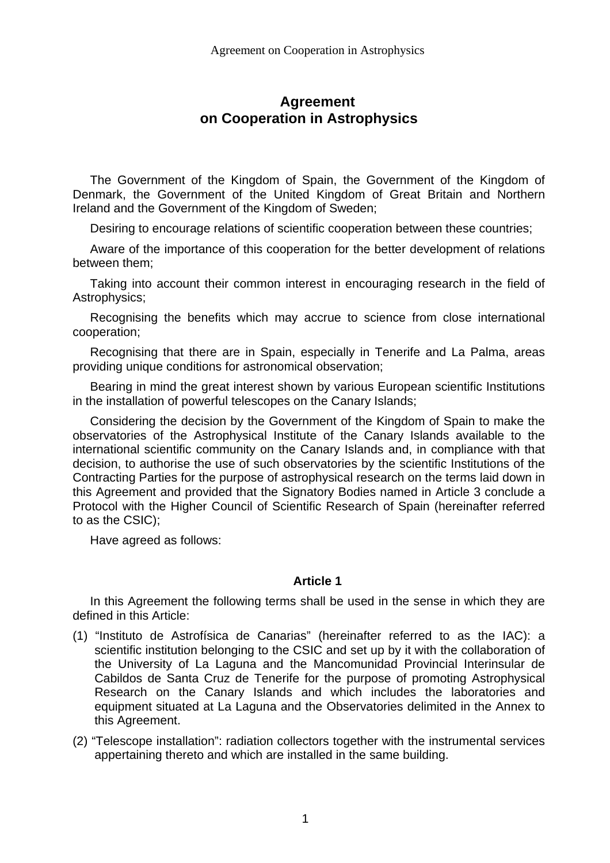# **Agreement on Cooperation in Astrophysics**

The Government of the Kingdom of Spain, the Government of the Kingdom of Denmark, the Government of the United Kingdom of Great Britain and Northern Ireland and the Government of the Kingdom of Sweden;

Desiring to encourage relations of scientific cooperation between these countries;

Aware of the importance of this cooperation for the better development of relations between them;

Taking into account their common interest in encouraging research in the field of Astrophysics;

Recognising the benefits which may accrue to science from close international cooperation;

Recognising that there are in Spain, especially in Tenerife and La Palma, areas providing unique conditions for astronomical observation;

Bearing in mind the great interest shown by various European scientific Institutions in the installation of powerful telescopes on the Canary Islands;

Considering the decision by the Government of the Kingdom of Spain to make the observatories of the Astrophysical Institute of the Canary Islands available to the international scientific community on the Canary Islands and, in compliance with that decision, to authorise the use of such observatories by the scientific Institutions of the Contracting Parties for the purpose of astrophysical research on the terms laid down in this Agreement and provided that the Signatory Bodies named in Article 3 conclude a Protocol with the Higher Council of Scientific Research of Spain (hereinafter referred to as the CSIC);

Have agreed as follows:

### **Article 1**

In this Agreement the following terms shall be used in the sense in which they are defined in this Article:

- (1) "Instituto de Astrofísica de Canarias" (hereinafter referred to as the IAC): a scientific institution belonging to the CSIC and set up by it with the collaboration of the University of La Laguna and the Mancomunidad Provincial Interinsular de Cabildos de Santa Cruz de Tenerife for the purpose of promoting Astrophysical Research on the Canary Islands and which includes the laboratories and equipment situated at La Laguna and the Observatories delimited in the Annex to this Agreement.
- (2) "Telescope installation": radiation collectors together with the instrumental services appertaining thereto and which are installed in the same building.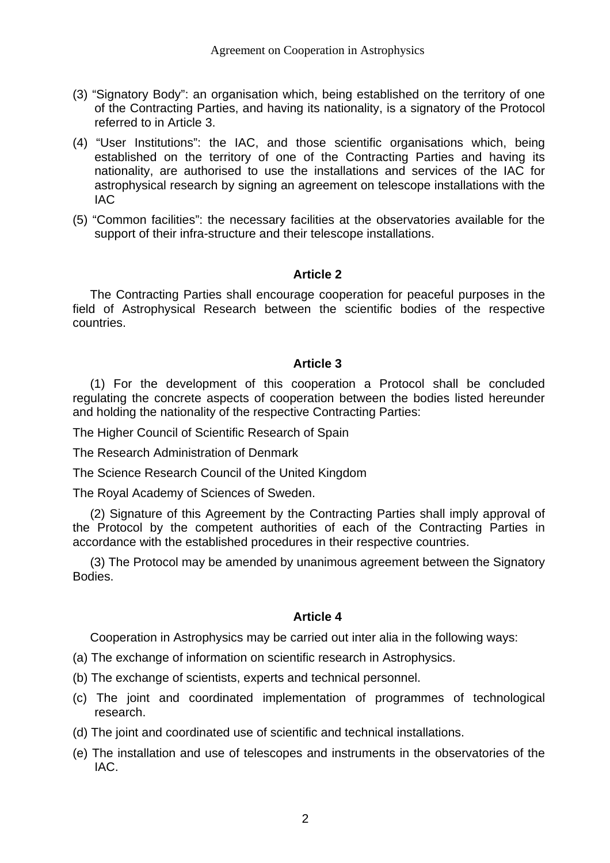- (3) "Signatory Body": an organisation which, being established on the territory of one of the Contracting Parties, and having its nationality, is a signatory of the Protocol referred to in Article 3.
- (4) "User Institutions": the IAC, and those scientific organisations which, being established on the territory of one of the Contracting Parties and having its nationality, are authorised to use the installations and services of the IAC for astrophysical research by signing an agreement on telescope installations with the IAC
- (5) "Common facilities": the necessary facilities at the observatories available for the support of their infra-structure and their telescope installations.

### **Article 2**

The Contracting Parties shall encourage cooperation for peaceful purposes in the field of Astrophysical Research between the scientific bodies of the respective countries.

## **Article 3**

(1) For the development of this cooperation a Protocol shall be concluded regulating the concrete aspects of cooperation between the bodies listed hereunder and holding the nationality of the respective Contracting Parties:

The Higher Council of Scientific Research of Spain

The Research Administration of Denmark

The Science Research Council of the United Kingdom

The Royal Academy of Sciences of Sweden.

(2) Signature of this Agreement by the Contracting Parties shall imply approval of the Protocol by the competent authorities of each of the Contracting Parties in accordance with the established procedures in their respective countries.

(3) The Protocol may be amended by unanimous agreement between the Signatory Bodies.

## **Article 4**

Cooperation in Astrophysics may be carried out inter alia in the following ways:

- (a) The exchange of information on scientific research in Astrophysics.
- (b) The exchange of scientists, experts and technical personnel.
- (c) The joint and coordinated implementation of programmes of technological research.
- (d) The joint and coordinated use of scientific and technical installations.
- (e) The installation and use of telescopes and instruments in the observatories of the IAC.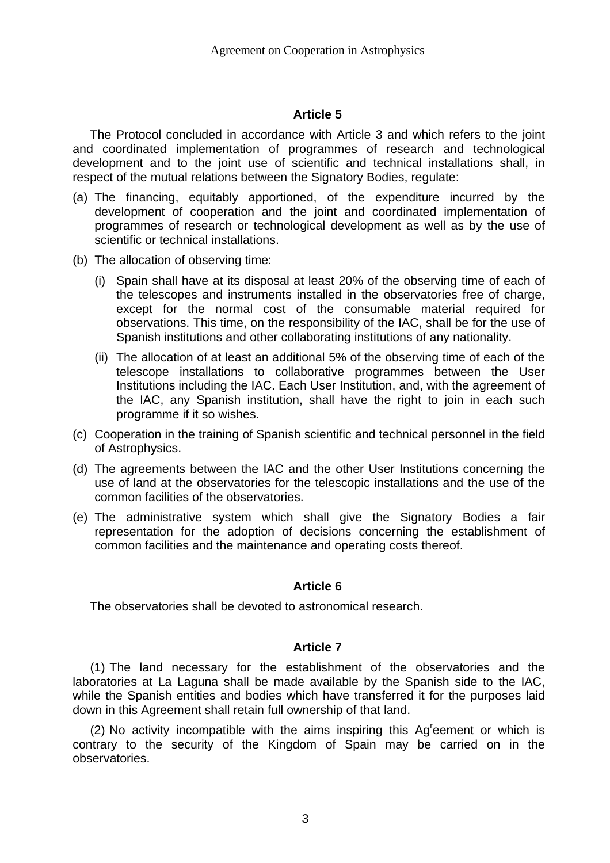### **Article 5**

The Protocol concluded in accordance with Article 3 and which refers to the joint and coordinated implementation of programmes of research and technological development and to the joint use of scientific and technical installations shall, in respect of the mutual relations between the Signatory Bodies, regulate:

- (a) The financing, equitably apportioned, of the expenditure incurred by the development of cooperation and the joint and coordinated implementation of programmes of research or technological development as well as by the use of scientific or technical installations.
- (b) The allocation of observing time:
	- (i) Spain shall have at its disposal at least 20% of the observing time of each of the telescopes and instruments installed in the observatories free of charge, except for the normal cost of the consumable material required for observations. This time, on the responsibility of the IAC, shall be for the use of Spanish institutions and other collaborating institutions of any nationality.
	- (ii) The allocation of at least an additional 5% of the observing time of each of the telescope installations to collaborative programmes between the User Institutions including the IAC. Each User Institution, and, with the agreement of the IAC, any Spanish institution, shall have the right to join in each such programme if it so wishes.
- (c) Cooperation in the training of Spanish scientific and technical personnel in the field of Astrophysics.
- (d) The agreements between the IAC and the other User Institutions concerning the use of land at the observatories for the telescopic installations and the use of the common facilities of the observatories.
- (e) The administrative system which shall give the Signatory Bodies a fair representation for the adoption of decisions concerning the establishment of common facilities and the maintenance and operating costs thereof.

#### **Article 6**

The observatories shall be devoted to astronomical research.

#### **Article 7**

(1) The land necessary for the establishment of the observatories and the laboratories at La Laguna shall be made available by the Spanish side to the IAC, while the Spanish entities and bodies which have transferred it for the purposes laid down in this Agreement shall retain full ownership of that land.

(2) No activity incompatible with the aims inspiring this Ag<sup>r</sup>eement or which is contrary to the security of the Kingdom of Spain may be carried on in the observatories.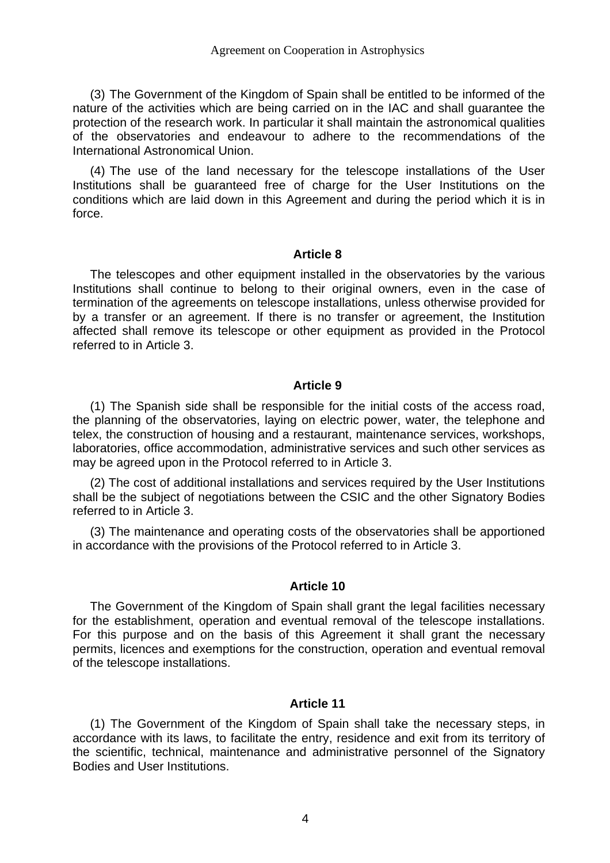(3) The Government of the Kingdom of Spain shall be entitled to be informed of the nature of the activities which are being carried on in the IAC and shall guarantee the protection of the research work. In particular it shall maintain the astronomical qualities of the observatories and endeavour to adhere to the recommendations of the International Astronomical Union.

(4) The use of the land necessary for the telescope installations of the User Institutions shall be guaranteed free of charge for the User Institutions on the conditions which are laid down in this Agreement and during the period which it is in force.

#### **Article 8**

The telescopes and other equipment installed in the observatories by the various Institutions shall continue to belong to their original owners, even in the case of termination of the agreements on telescope installations, unless otherwise provided for by a transfer or an agreement. If there is no transfer or agreement, the Institution affected shall remove its telescope or other equipment as provided in the Protocol referred to in Article 3.

#### **Article 9**

(1) The Spanish side shall be responsible for the initial costs of the access road, the planning of the observatories, laying on electric power, water, the telephone and telex, the construction of housing and a restaurant, maintenance services, workshops, laboratories, office accommodation, administrative services and such other services as may be agreed upon in the Protocol referred to in Article 3.

(2) The cost of additional installations and services required by the User Institutions shall be the subject of negotiations between the CSIC and the other Signatory Bodies referred to in Article 3.

(3) The maintenance and operating costs of the observatories shall be apportioned in accordance with the provisions of the Protocol referred to in Article 3.

#### **Article 10**

The Government of the Kingdom of Spain shall grant the legal facilities necessary for the establishment, operation and eventual removal of the telescope installations. For this purpose and on the basis of this Agreement it shall grant the necessary permits, licences and exemptions for the construction, operation and eventual removal of the telescope installations.

#### **Article 11**

(1) The Government of the Kingdom of Spain shall take the necessary steps, in accordance with its laws, to facilitate the entry, residence and exit from its territory of the scientific, technical, maintenance and administrative personnel of the Signatory Bodies and User Institutions.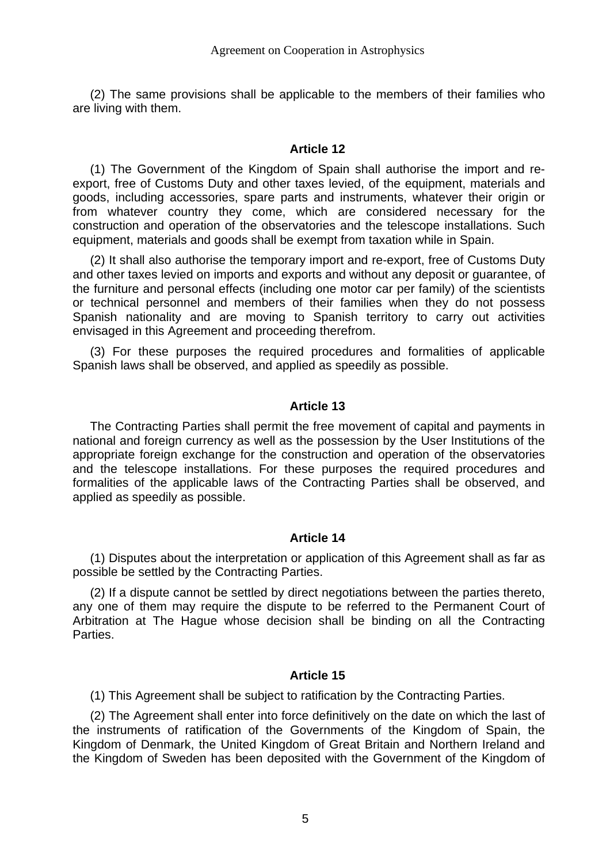(2) The same provisions shall be applicable to the members of their families who are living with them.

#### **Article 12**

(1) The Government of the Kingdom of Spain shall authorise the import and reexport, free of Customs Duty and other taxes levied, of the equipment, materials and goods, including accessories, spare parts and instruments, whatever their origin or from whatever country they come, which are considered necessary for the construction and operation of the observatories and the telescope installations. Such equipment, materials and goods shall be exempt from taxation while in Spain.

(2) It shall also authorise the temporary import and re-export, free of Customs Duty and other taxes levied on imports and exports and without any deposit or guarantee, of the furniture and personal effects (including one motor car per family) of the scientists or technical personnel and members of their families when they do not possess Spanish nationality and are moving to Spanish territory to carry out activities envisaged in this Agreement and proceeding therefrom.

(3) For these purposes the required procedures and formalities of applicable Spanish laws shall be observed, and applied as speedily as possible.

#### **Article 13**

The Contracting Parties shall permit the free movement of capital and payments in national and foreign currency as well as the possession by the User Institutions of the appropriate foreign exchange for the construction and operation of the observatories and the telescope installations. For these purposes the required procedures and formalities of the applicable laws of the Contracting Parties shall be observed, and applied as speedily as possible.

#### **Article 14**

(1) Disputes about the interpretation or application of this Agreement shall as far as possible be settled by the Contracting Parties.

(2) If a dispute cannot be settled by direct negotiations between the parties thereto, any one of them may require the dispute to be referred to the Permanent Court of Arbitration at The Hague whose decision shall be binding on all the Contracting Parties.

#### **Article 15**

(1) This Agreement shall be subject to ratification by the Contracting Parties.

(2) The Agreement shall enter into force definitively on the date on which the last of the instruments of ratification of the Governments of the Kingdom of Spain, the Kingdom of Denmark, the United Kingdom of Great Britain and Northern Ireland and the Kingdom of Sweden has been deposited with the Government of the Kingdom of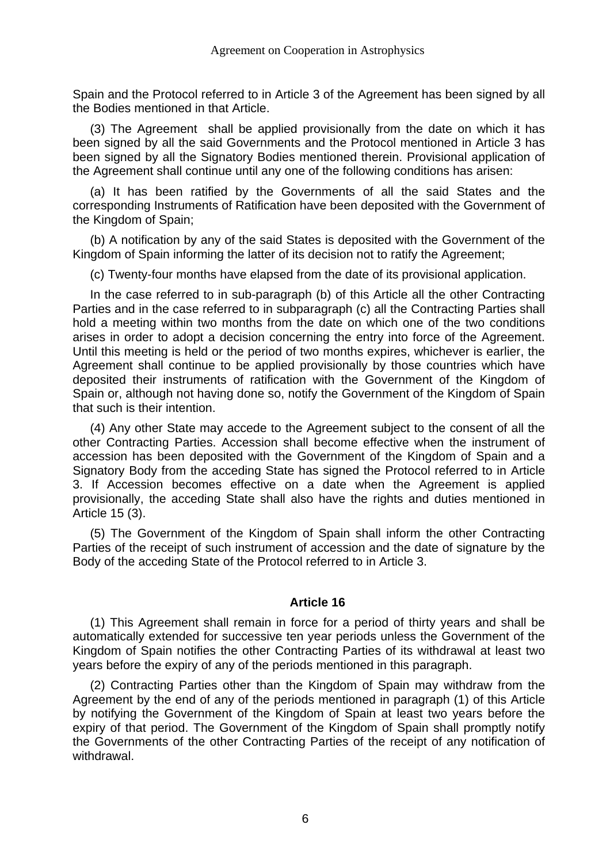Spain and the Protocol referred to in Article 3 of the Agreement has been signed by all the Bodies mentioned in that Article.

(3) The Agreement shall be applied provisionally from the date on which it has been signed by all the said Governments and the Protocol mentioned in Article 3 has been signed by all the Signatory Bodies mentioned therein. Provisional application of the Agreement shall continue until any one of the following conditions has arisen:

(a) It has been ratified by the Governments of all the said States and the corresponding Instruments of Ratification have been deposited with the Government of the Kingdom of Spain;

(b) A notification by any of the said States is deposited with the Government of the Kingdom of Spain informing the latter of its decision not to ratify the Agreement;

(c) Twenty-four months have elapsed from the date of its provisional application.

In the case referred to in sub-paragraph (b) of this Article all the other Contracting Parties and in the case referred to in subparagraph (c) all the Contracting Parties shall hold a meeting within two months from the date on which one of the two conditions arises in order to adopt a decision concerning the entry into force of the Agreement. Until this meeting is held or the period of two months expires, whichever is earlier, the Agreement shall continue to be applied provisionally by those countries which have deposited their instruments of ratification with the Government of the Kingdom of Spain or, although not having done so, notify the Government of the Kingdom of Spain that such is their intention.

(4) Any other State may accede to the Agreement subject to the consent of all the other Contracting Parties. Accession shall become effective when the instrument of accession has been deposited with the Government of the Kingdom of Spain and a Signatory Body from the acceding State has signed the Protocol referred to in Article 3. If Accession becomes effective on a date when the Agreement is applied provisionally, the acceding State shall also have the rights and duties mentioned in Article 15 (3).

(5) The Government of the Kingdom of Spain shall inform the other Contracting Parties of the receipt of such instrument of accession and the date of signature by the Body of the acceding State of the Protocol referred to in Article 3.

#### **Article 16**

(1) This Agreement shall remain in force for a period of thirty years and shall be automatically extended for successive ten year periods unless the Government of the Kingdom of Spain notifies the other Contracting Parties of its withdrawal at least two years before the expiry of any of the periods mentioned in this paragraph.

(2) Contracting Parties other than the Kingdom of Spain may withdraw from the Agreement by the end of any of the periods mentioned in paragraph (1) of this Article by notifying the Government of the Kingdom of Spain at least two years before the expiry of that period. The Government of the Kingdom of Spain shall promptly notify the Governments of the other Contracting Parties of the receipt of any notification of withdrawal.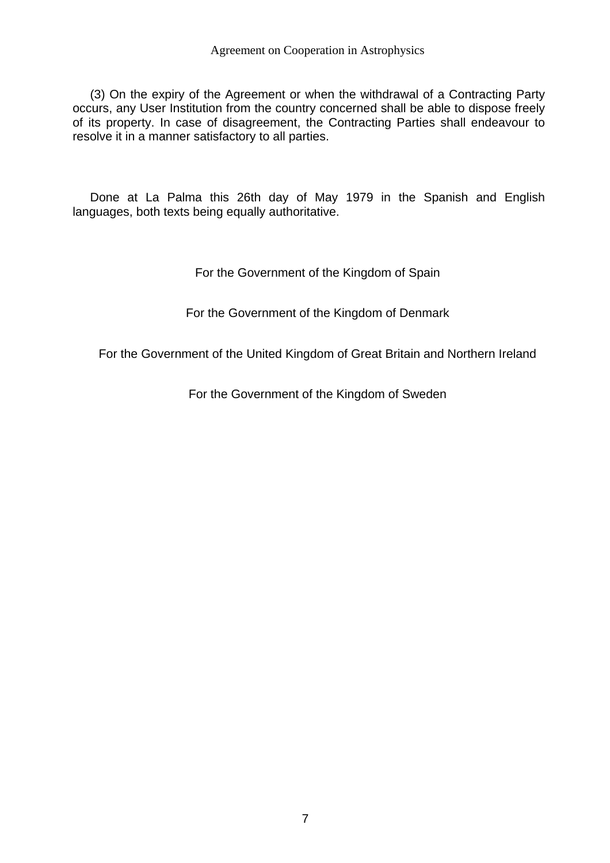(3) On the expiry of the Agreement or when the withdrawal of a Contracting Party occurs, any User Institution from the country concerned shall be able to dispose freely of its property. In case of disagreement, the Contracting Parties shall endeavour to resolve it in a manner satisfactory to all parties.

Done at La Palma this 26th day of May 1979 in the Spanish and English languages, both texts being equally authoritative.

For the Government of the Kingdom of Spain

For the Government of the Kingdom of Denmark

For the Government of the United Kingdom of Great Britain and Northern Ireland

For the Government of the Kingdom of Sweden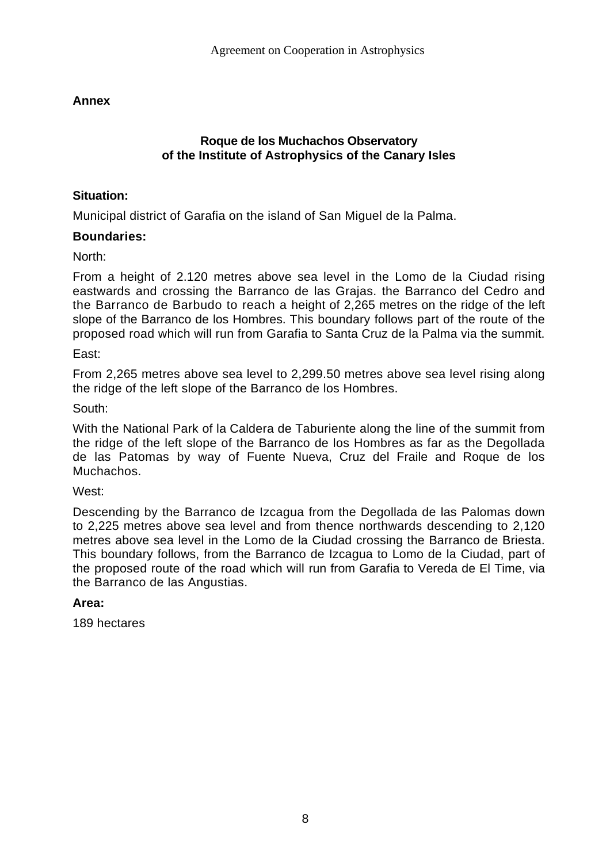# **Annex**

## **Roque de los Muchachos Observatory of the Institute of Astrophysics of the Canary Isles**

## **Situation:**

Municipal district of Garafia on the island of San Miguel de la Palma.

## **Boundaries:**

North:

From a height of 2.120 metres above sea level in the Lomo de la Ciudad rising eastwards and crossing the Barranco de las Grajas. the Barranco del Cedro and the Barranco de Barbudo to reach a height of 2,265 metres on the ridge of the left slope of the Barranco de los Hombres. This boundary follows part of the route of the proposed road which will run from Garafia to Santa Cruz de la Palma via the summit.

### East:

From 2,265 metres above sea level to 2,299.50 metres above sea level rising along the ridge of the left slope of the Barranco de los Hombres.

### South:

With the National Park of la Caldera de Taburiente along the line of the summit from the ridge of the left slope of the Barranco de los Hombres as far as the Degollada de las Patomas by way of Fuente Nueva, Cruz del Fraile and Roque de los Muchachos.

### West:

Descending by the Barranco de Izcagua from the Degollada de las Palomas down to 2,225 metres above sea level and from thence northwards descending to 2,120 metres above sea level in the Lomo de la Ciudad crossing the Barranco de Briesta. This boundary follows, from the Barranco de Izcagua to Lomo de la Ciudad, part of the proposed route of the road which will run from Garafia to Vereda de El Time, via the Barranco de las Angustias.

### **Area:**

189 hectares